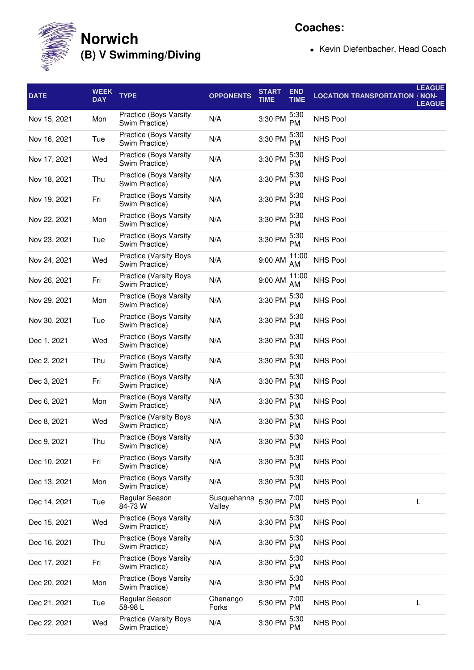

**Coaches:**

• Kevin Diefenbacher, Head Coach

| <b>DATE</b>  | <b>WEEK</b><br><b>DAY</b> | <b>TYPE</b>                                     | <b>OPPONENTS</b>      | <b>START</b><br><b>TIME</b> | <b>END</b><br><b>TIME</b> | <b>LEAGUE</b><br><b>LOCATION TRANSPORTATION / NON-</b><br><b>LEAGUE</b> |
|--------------|---------------------------|-------------------------------------------------|-----------------------|-----------------------------|---------------------------|-------------------------------------------------------------------------|
| Nov 15, 2021 | Mon                       | Practice (Boys Varsity<br>Swim Practice)        | N/A                   | 3:30 PM                     | 5:30<br><b>PM</b>         | <b>NHS Pool</b>                                                         |
| Nov 16, 2021 | Tue                       | Practice (Boys Varsity<br>Swim Practice)        | N/A                   | 3:30 PM                     | 5:30<br><b>PM</b>         | <b>NHS Pool</b>                                                         |
| Nov 17, 2021 | Wed                       | Practice (Boys Varsity<br>Swim Practice)        | N/A                   | 3:30 PM                     | 5:30<br><b>PM</b>         | <b>NHS Pool</b>                                                         |
| Nov 18, 2021 | Thu                       | Practice (Boys Varsity<br>Swim Practice)        | N/A                   | 3:30 PM                     | 5:30<br><b>PM</b>         | <b>NHS Pool</b>                                                         |
| Nov 19, 2021 | Fri                       | Practice (Boys Varsity<br>Swim Practice)        | N/A                   | 3:30 PM                     | 5:30<br>PM                | <b>NHS Pool</b>                                                         |
| Nov 22, 2021 | Mon                       | Practice (Boys Varsity<br>Swim Practice)        | N/A                   | 3:30 PM                     | 5:30<br><b>PM</b>         | <b>NHS Pool</b>                                                         |
| Nov 23, 2021 | Tue                       | Practice (Boys Varsity<br>Swim Practice)        | N/A                   | 3:30 PM                     | 5:30<br><b>PM</b>         | <b>NHS Pool</b>                                                         |
| Nov 24, 2021 | Wed                       | <b>Practice (Varsity Boys</b><br>Swim Practice) | N/A                   | 9:00 AM                     | 11:00<br>AM               | <b>NHS Pool</b>                                                         |
| Nov 26, 2021 | Fri                       | <b>Practice (Varsity Boys</b><br>Swim Practice) | N/A                   | 9:00 AM                     | 11:00<br>AM               | <b>NHS Pool</b>                                                         |
| Nov 29, 2021 | Mon                       | Practice (Boys Varsity<br>Swim Practice)        | N/A                   | 3:30 PM                     | 5:30<br><b>PM</b>         | <b>NHS Pool</b>                                                         |
| Nov 30, 2021 | Tue                       | <b>Practice (Boys Varsity</b><br>Swim Practice) | N/A                   | 3:30 PM                     | 5:30<br><b>PM</b>         | <b>NHS Pool</b>                                                         |
| Dec 1, 2021  | Wed                       | Practice (Boys Varsity<br>Swim Practice)        | N/A                   | 3:30 PM                     | 5:30<br><b>PM</b>         | <b>NHS Pool</b>                                                         |
| Dec 2, 2021  | Thu                       | Practice (Boys Varsity<br>Swim Practice)        | N/A                   | 3:30 PM                     | 5:30<br><b>PM</b>         | <b>NHS Pool</b>                                                         |
| Dec 3, 2021  | Fri                       | Practice (Boys Varsity<br>Swim Practice)        | N/A                   | 3:30 PM                     | 5:30<br><b>PM</b>         | <b>NHS Pool</b>                                                         |
| Dec 6, 2021  | Mon                       | Practice (Boys Varsity<br>Swim Practice)        | N/A                   | 3:30 PM                     | 5:30<br><b>PM</b>         | <b>NHS Pool</b>                                                         |
| Dec 8, 2021  | Wed                       | <b>Practice (Varsity Boys</b><br>Swim Practice) | N/A                   | 3:30 PM                     | 5:30<br><b>PM</b>         | <b>NHS Pool</b>                                                         |
| Dec 9, 2021  | Thu                       | Practice (Boys Varsity<br>Swim Practice)        | N/A                   | 3:30 PM                     | 5:30<br><b>PM</b>         | <b>NHS Pool</b>                                                         |
| Dec 10, 2021 | Fri                       | Practice (Boys Varsity<br>Swim Practice)        | N/A                   | 3:30 PM                     | 5:30<br><b>PM</b>         | NHS Pool                                                                |
| Dec 13, 2021 | Mon                       | Practice (Boys Varsity<br>Swim Practice)        | N/A                   | 3:30 PM                     | 5:30<br>PM                | NHS Pool                                                                |
| Dec 14, 2021 | Tue                       | Regular Season<br>84-73 W                       | Susquehanna<br>Valley | 5:30 PM                     | 7:00<br>PM                | NHS Pool<br>L                                                           |
| Dec 15, 2021 | Wed                       | Practice (Boys Varsity<br>Swim Practice)        | N/A                   | 3:30 PM                     | 5:30<br>PM                | NHS Pool                                                                |
| Dec 16, 2021 | Thu                       | Practice (Boys Varsity<br>Swim Practice)        | N/A                   | 3:30 PM                     | 5:30<br>PM                | <b>NHS Pool</b>                                                         |
| Dec 17, 2021 | Fri                       | Practice (Boys Varsity<br>Swim Practice)        | N/A                   | 3:30 PM                     | 5:30<br>PM                | <b>NHS Pool</b>                                                         |
| Dec 20, 2021 | Mon                       | Practice (Boys Varsity<br>Swim Practice)        | N/A                   | 3:30 PM                     | 5:30<br>PM                | NHS Pool                                                                |
| Dec 21, 2021 | Tue                       | Regular Season<br>58-98L                        | Chenango<br>Forks     | 5:30 PM                     | 7:00<br><b>PM</b>         | <b>NHS Pool</b><br>L                                                    |
| Dec 22, 2021 | Wed                       | <b>Practice (Varsity Boys</b><br>Swim Practice) | N/A                   | 3:30 PM                     | 5:30<br>PM                | NHS Pool                                                                |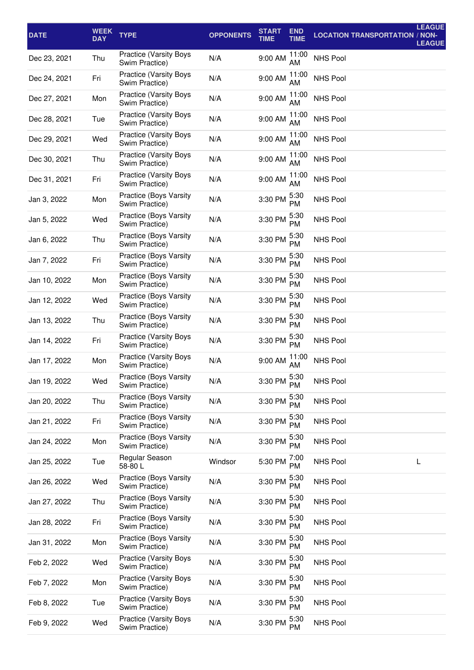| <b>DATE</b>  | <b>WEEK</b><br><b>DAY</b> | <b>TYPE</b>                                     | <b>OPPONENTS</b> | <b>START</b><br><b>TIME</b> | <b>END</b><br><b>TIME</b> | <b>LOCATION TRANSPORTATION / NON-</b> | <b>LEAGUE</b><br><b>LEAGUE</b> |
|--------------|---------------------------|-------------------------------------------------|------------------|-----------------------------|---------------------------|---------------------------------------|--------------------------------|
| Dec 23, 2021 | Thu                       | <b>Practice (Varsity Boys</b><br>Swim Practice) | N/A              | 9:00 AM                     | 11:00<br>AM               | <b>NHS Pool</b>                       |                                |
| Dec 24, 2021 | Fri                       | <b>Practice (Varsity Boys</b><br>Swim Practice) | N/A              | 9:00 AM                     | 11:00<br>AM               | <b>NHS Pool</b>                       |                                |
| Dec 27, 2021 | Mon                       | Practice (Varsity Boys<br>Swim Practice)        | N/A              | 9:00 AM                     | 11:00<br>AM               | <b>NHS Pool</b>                       |                                |
| Dec 28, 2021 | Tue                       | <b>Practice (Varsity Boys</b><br>Swim Practice) | N/A              | 9:00 AM                     | 11:00<br>AM               | <b>NHS Pool</b>                       |                                |
| Dec 29, 2021 | Wed                       | <b>Practice (Varsity Boys</b><br>Swim Practice) | N/A              | 9:00 AM                     | 11:00<br>AM.              | <b>NHS Pool</b>                       |                                |
| Dec 30, 2021 | Thu                       | <b>Practice (Varsity Boys</b><br>Swim Practice) | N/A              | 9:00 AM                     | 11:00<br>AM               | <b>NHS Pool</b>                       |                                |
| Dec 31, 2021 | Fri                       | <b>Practice (Varsity Boys</b><br>Swim Practice) | N/A              | 9:00 AM                     | 11:00<br>AM               | <b>NHS Pool</b>                       |                                |
| Jan 3, 2022  | Mon                       | Practice (Boys Varsity<br>Swim Practice)        | N/A              | 3:30 PM                     | 5:30<br>PM                | <b>NHS Pool</b>                       |                                |
| Jan 5, 2022  | Wed                       | Practice (Boys Varsity<br>Swim Practice)        | N/A              | 3:30 PM                     | 5:30<br><b>PM</b>         | <b>NHS Pool</b>                       |                                |
| Jan 6, 2022  | Thu                       | Practice (Boys Varsity<br>Swim Practice)        | N/A              | 3:30 PM                     | 5:30<br><b>PM</b>         | <b>NHS Pool</b>                       |                                |
| Jan 7, 2022  | Fri                       | Practice (Boys Varsity<br>Swim Practice)        | N/A              | 3:30 PM                     | 5:30<br><b>PM</b>         | <b>NHS Pool</b>                       |                                |
| Jan 10, 2022 | Mon                       | Practice (Boys Varsity<br>Swim Practice)        | N/A              | 3:30 PM                     | 5:30<br><b>PM</b>         | <b>NHS Pool</b>                       |                                |
| Jan 12, 2022 | Wed                       | Practice (Boys Varsity<br>Swim Practice)        | N/A              | 3:30 PM                     | 5:30<br><b>PM</b>         | <b>NHS Pool</b>                       |                                |
| Jan 13, 2022 | Thu                       | <b>Practice (Boys Varsity</b><br>Swim Practice) | N/A              | 3:30 PM                     | 5:30<br><b>PM</b>         | <b>NHS Pool</b>                       |                                |
| Jan 14, 2022 | Fri                       | <b>Practice (Varsity Boys</b><br>Swim Practice) | N/A              | 3:30 PM                     | 5:30<br><b>PM</b>         | <b>NHS Pool</b>                       |                                |
| Jan 17, 2022 | Mon                       | Practice (Varsity Boys<br>Swim Practice)        | N/A              | 9:00 AM                     | 11:00<br>AM               | <b>NHS Pool</b>                       |                                |
| Jan 19, 2022 | Wed                       | Practice (Boys Varsity<br>Swim Practice)        | N/A              | 3:30 PM $^{5:30}_{DAA}$     | PM                        | NHS Pool                              |                                |
| Jan 20, 2022 | Thu                       | Practice (Boys Varsity<br>Swim Practice)        | N/A              | 3:30 PM                     | 5:30<br>PM.               | <b>NHS Pool</b>                       |                                |
| Jan 21, 2022 | Fri                       | Practice (Boys Varsity<br>Swim Practice)        | N/A              | 3:30 PM                     | 5:30<br>PM                | <b>NHS Pool</b>                       |                                |
| Jan 24, 2022 | Mon                       | Practice (Boys Varsity<br>Swim Practice)        | N/A              | 3:30 PM                     | 5:30<br>PM                | NHS Pool                              |                                |
| Jan 25, 2022 | Tue                       | Regular Season<br>58-80L                        | Windsor          | 5:30 PM                     | 7:00<br><b>PM</b>         | <b>NHS Pool</b>                       | L                              |
| Jan 26, 2022 | Wed                       | Practice (Boys Varsity<br>Swim Practice)        | N/A              | 3:30 PM                     | 5:30<br>PM                | <b>NHS Pool</b>                       |                                |
| Jan 27, 2022 | Thu                       | Practice (Boys Varsity<br>Swim Practice)        | N/A              | 3:30 PM                     | 5:30<br><b>PM</b>         | <b>NHS Pool</b>                       |                                |
| Jan 28, 2022 | Fri                       | Practice (Boys Varsity<br>Swim Practice)        | N/A              | 3:30 PM                     | 5:30<br>PM.               | <b>NHS Pool</b>                       |                                |
| Jan 31, 2022 | Mon                       | Practice (Boys Varsity<br>Swim Practice)        | N/A              | 3:30 PM                     | 5:30<br>PM                | <b>NHS Pool</b>                       |                                |
| Feb 2, 2022  | Wed                       | Practice (Varsity Boys<br>Swim Practice)        | N/A              | 3:30 PM                     | 5:30<br><b>PM</b>         | <b>NHS Pool</b>                       |                                |
| Feb 7, 2022  | Mon                       | <b>Practice (Varsity Boys</b><br>Swim Practice) | N/A              | 3:30 PM                     | 5:30<br>PM                | NHS Pool                              |                                |
| Feb 8, 2022  | Tue                       | <b>Practice (Varsity Boys</b><br>Swim Practice) | N/A              | 3:30 PM                     | 5:30<br><b>PM</b>         | <b>NHS Pool</b>                       |                                |
| Feb 9, 2022  | Wed                       | <b>Practice (Varsity Boys</b><br>Swim Practice) | N/A              | 3:30 PM                     | 5:30<br>PM                | NHS Pool                              |                                |